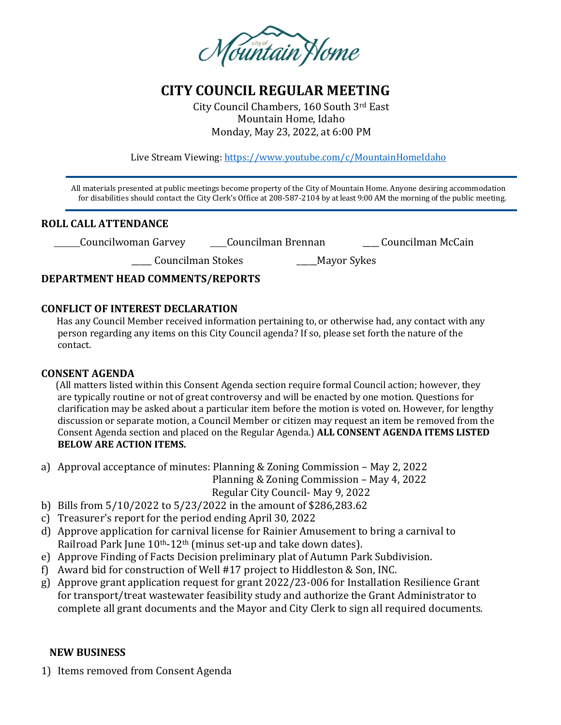

# **CITY COUNCIL REGULAR MEETING**

City Council Chambers, 160 South 3rd East Mountain Home, Idaho Monday, May 23, 2022, at 6:00 PM

Live Stream Viewing:<https://www.youtube.com/c/MountainHomeIdaho>

 All materials presented at public meetings become property of the City of Mountain Home. Anyone desiring accommodation for disabilities should contact the City Clerk's Office at 208-587-2104 by at least 9:00 AM the morning of the public meeting.

### **ROLL CALL ATTENDANCE**

Councilwoman Garvey Councilman Brennan \_\_\_\_ Councilman McCain

\_\_\_\_\_ Councilman Stokes \_\_\_\_\_Mayor Sykes

# **DEPARTMENT HEAD COMMENTS/REPORTS**

### **CONFLICT OF INTEREST DECLARATION**

 Has any Council Member received information pertaining to, or otherwise had, any contact with any person regarding any items on this City Council agenda? If so, please set forth the nature of the contact.

# **CONSENT AGENDA**

 (All matters listed within this Consent Agenda section require formal Council action; however, they are typically routine or not of great controversy and will be enacted by one motion. Questions for clarification may be asked about a particular item before the motion is voted on. However, for lengthy discussion or separate motion, a Council Member or citizen may request an item be removed from the Consent Agenda section and placed on the Regular Agenda.) **ALL CONSENT AGENDA ITEMS LISTED BELOW ARE ACTION ITEMS.**

a) Approval acceptance of minutes: Planning & Zoning Commission – May 2, 2022

Planning & Zoning Commission – May 4, 2022

Regular City Council- May 9, 2022

- b) Bills from 5/10/2022 to 5/23/2022 in the amount of \$286,283.62
- c) Treasurer's report for the period ending April 30, 2022
- d) Approve application for carnival license for Rainier Amusement to bring a carnival to Railroad Park June 10<sup>th</sup>-12<sup>th</sup> (minus set-up and take down dates).
- e) Approve Finding of Facts Decision preliminary plat of Autumn Park Subdivision.
- f) Award bid for construction of Well #17 project to Hiddleston & Son, INC.
- g) Approve grant application request for grant 2022/23-006 for Installation Resilience Grant for transport/treat wastewater feasibility study and authorize the Grant Administrator to complete all grant documents and the Mayor and City Clerk to sign all required documents.

#### **NEW BUSINESS**

1) Items removed from Consent Agenda